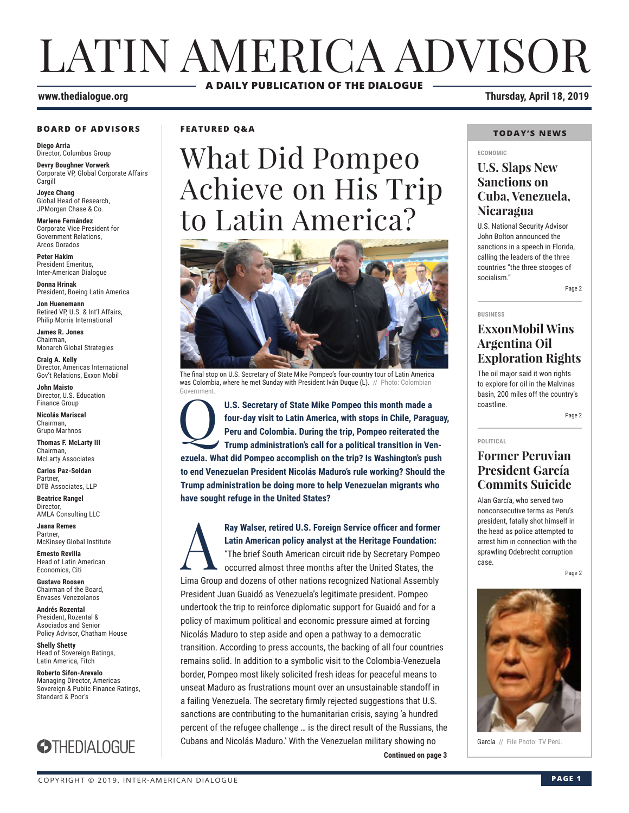# LATIN AMERICA ADVISOR **A DAILY PUBLICATION OF THE DIALOGUE**

#### **www.thedialogue.org Thursday, April 18, 2019**

#### **BOARD OF ADVISORS**

**Diego Arria** Director, Columbus Group

**Devry Boughner Vorwerk** Corporate VP, Global Corporate Affairs Cargill

**Joyce Chang** Global Head of Research, JPMorgan Chase & Co.

**Marlene Fernández** Corporate Vice President for Government Relations, Arcos Dorados

**Peter Hakim** President Emeritus, Inter-American Dialogue

**Donna Hrinak** President, Boeing Latin America

**Jon Huenemann** Retired VP, U.S. & Int'l Affairs, Philip Morris International

**James R. Jones** Chairman, Monarch Global Strategies

**Craig A. Kelly** Director, Americas International Gov't Relations, Exxon Mobil

**John Maisto** Director, U.S. Education Finance Group

**Nicolás Mariscal** Chairman, Grupo Marhnos

**Thomas F. McLarty III** Chairman, McLarty Associates

**Carlos Paz-Soldan Partner** DTB
Associates
11P

**Beatrice Rangel**  Director, AMLA Consulting LLC

**Jaana Remes** Partner, McKinsey Global Institute

**Ernesto Revilla**  Head of Latin American Economics, Citi

**Gustavo Roosen** Chairman of the Board, Envases Venezolanos

**Andrés Rozental**  President, Rozental & Asociados and Senior Policy Advisor, Chatham House

**Shelly Shetty** Head of Sovereign Ratings, Latin America, Fitch

**Roberto Sifon-Arevalo** Managing Director, Americas Sovereign & Public Finance Ratings, Standard & Poor's



**FEATURED Q&A**

# What Did Pompeo Achieve on His Trip to Latin America?



The final stop on U.S. Secretary of State Mike Pompeo's four-country tour of Latin America was Colombia, where he met Sunday with President Iván Duque (L). // Photo: Colombian Government.

U.S. Secretary of State Mike Pompeo this month made a **four-day visit to Latin America**, with stops in Chile, Parage Peru and Colombia. During the trip, Pompeo reiterated the Trump administration's call for a political tra **four-day visit to Latin America, with stops in Chile, Paraguay, Peru and Colombia. During the trip, Pompeo reiterated the Trump administration's call for a political transition in Venezuela. What did Pompeo accomplish on the trip? Is Washington's push to end Venezuelan President Nicolás Maduro's rule working? Should the Trump administration be doing more to help Venezuelan migrants who have sought refuge in the United States?**

**Ray Walser, retired U.S. Foreign Service officer and former<br>
Latin American policy analyst at the Heritage Foundation:<br>
"The brief South American circuit ride by Secretary Pompeo<br>
occurred almost three months after the Un Latin American policy analyst at the Heritage Foundation:** "The brief South American circuit ride by Secretary Pompeo occurred almost three months after the United States, the Lima Group and dozens of other nations recognized National Assembly President Juan Guaidó as Venezuela's legitimate president. Pompeo undertook the trip to reinforce diplomatic support for Guaidó and for a policy of maximum political and economic pressure aimed at forcing Nicolás Maduro to step aside and open a pathway to a democratic transition. According to press accounts, the backing of all four countries remains solid. In addition to a symbolic visit to the Colombia-Venezuela border, Pompeo most likely solicited fresh ideas for peaceful means to unseat Maduro as frustrations mount over an unsustainable standoff in a failing Venezuela. The secretary firmly rejected suggestions that U.S. sanctions are contributing to the humanitarian crisis, saying 'a hundred percent of the refugee challenge … is the direct result of the Russians, the Cubans and Nicolás Maduro.' With the Venezuelan military showing no

#### **TODAY'S NEWS**

#### **ECONOMIC**

### **U.S. Slaps New Sanctions on Cuba, Venezuela, Nicaragua**

U.S. National Security Advisor John Bolton announced the sanctions in a speech in Florida, calling the leaders of the three countries "the three stooges of socialism."

Page 2

**BUSINESS**

### **ExxonMobil Wins Argentina Oil Exploration Rights**

The oil major said it won rights to explore for oil in the Malvinas basin, 200 miles off the country's coastline.

Page 2

**POLITICAL**

### **Former Peruvian President García Commits Suicide**

Alan García, who served two nonconsecutive terms as Peru's president, fatally shot himself in the head as police attempted to arrest him in connection with the sprawling Odebrecht corruption case.

Page 2



García // File Photo: TV Perú.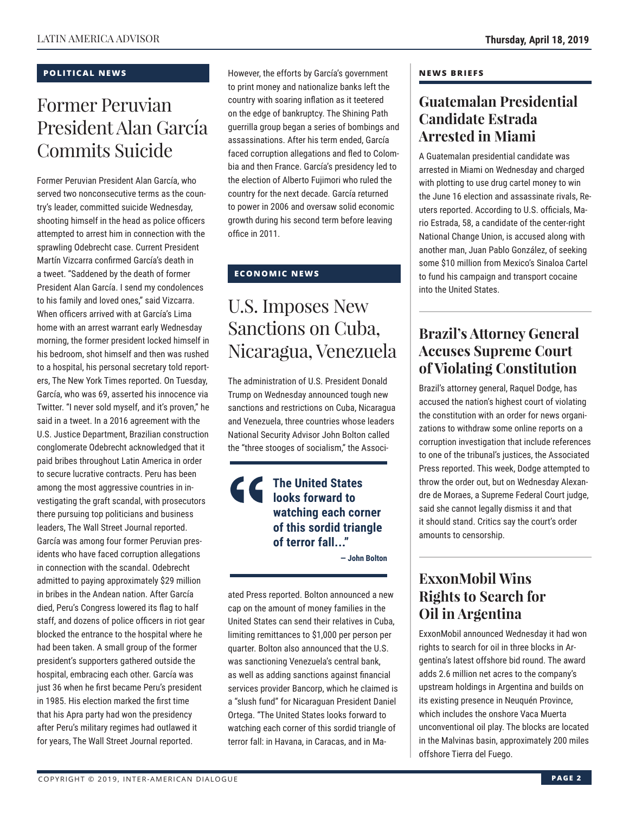#### **POLITICAL NEWS**

# Former Peruvian President Alan García Commits Suicide

Former Peruvian President Alan García, who served two nonconsecutive terms as the country's leader, committed suicide Wednesday, shooting himself in the head as police officers attempted to arrest him in connection with the sprawling Odebrecht case. Current President Martín Vizcarra confirmed García's death in a tweet. "Saddened by the death of former President Alan García. I send my condolences to his family and loved ones," said Vizcarra. When officers arrived with at García's Lima home with an arrest warrant early Wednesday morning, the former president locked himself in his bedroom, shot himself and then was rushed to a hospital, his personal secretary told reporters, The New York Times reported. On Tuesday, García, who was 69, asserted his innocence via Twitter. "I never sold myself, and it's proven," he said in a tweet. In a 2016 agreement with the U.S. Justice Department, Brazilian construction conglomerate Odebrecht acknowledged that it paid bribes throughout Latin America in order to secure lucrative contracts. Peru has been among the most aggressive countries in investigating the graft scandal, with prosecutors there pursuing top politicians and business leaders, The Wall Street Journal reported. García was among four former Peruvian presidents who have faced corruption allegations in connection with the scandal. Odebrecht admitted to paying approximately \$29 million in bribes in the Andean nation. After García died, Peru's Congress lowered its flag to half staff, and dozens of police officers in riot gear blocked the entrance to the hospital where he had been taken. A small group of the former president's supporters gathered outside the hospital, embracing each other. García was just 36 when he first became Peru's president in 1985. His election marked the first time that his Apra party had won the presidency after Peru's military regimes had outlawed it for years, The Wall Street Journal reported.

However, the efforts by García's government to print money and nationalize banks left the country with soaring inflation as it teetered on the edge of bankruptcy. The Shining Path guerrilla group began a series of bombings and assassinations. After his term ended, García faced corruption allegations and fled to Colombia and then France. García's presidency led to the election of Alberto Fujimori who ruled the country for the next decade. García returned to power in 2006 and oversaw solid economic growth during his second term before leaving office in 2011.

### **ECONOMIC NEWS**

# U.S. Imposes New Sanctions on Cuba, Nicaragua, Venezuela

The administration of U.S. President Donald Trump on Wednesday announced tough new sanctions and restrictions on Cuba, Nicaragua and Venezuela, three countries whose leaders National Security Advisor John Bolton called the "three stooges of socialism," the Associ-

### **The United States looks forward to watching each corner of this sordid triangle of terror fall..."**

**— John Bolton**

ated Press reported. Bolton announced a new cap on the amount of money families in the United States can send their relatives in Cuba, limiting remittances to \$1,000 per person per quarter. Bolton also announced that the U.S. was sanctioning Venezuela's central bank, as well as adding sanctions against financial services provider Bancorp, which he claimed is a "slush fund" for Nicaraguan President Daniel Ortega. "The United States looks forward to watching each corner of this sordid triangle of terror fall: in Havana, in Caracas, and in Ma-

#### **NEWS BRIEFS**

# **Guatemalan Presidential Candidate Estrada Arrested in Miami**

A Guatemalan presidential candidate was arrested in Miami on Wednesday and charged with plotting to use drug cartel money to win the June 16 election and assassinate rivals, Reuters reported. According to U.S. officials, Mario Estrada, 58, a candidate of the center-right National Change Union, is accused along with another man, Juan Pablo González, of seeking some \$10 million from Mexico's Sinaloa Cartel to fund his campaign and transport cocaine into the United States.

# **Brazil's Attorney General Accuses Supreme Court of Violating Constitution**

Brazil's attorney general, Raquel Dodge, has accused the nation's highest court of violating the constitution with an order for news organizations to withdraw some online reports on a corruption investigation that include references to one of the tribunal's justices, the Associated Press reported. This week, Dodge attempted to throw the order out, but on Wednesday Alexandre de Moraes, a Supreme Federal Court judge, said she cannot legally dismiss it and that it should stand. Critics say the court's order amounts to censorship.

# **ExxonMobil Wins Rights to Search for Oil in Argentina**

ExxonMobil announced Wednesday it had won rights to search for oil in three blocks in Argentina's latest offshore bid round. The award adds 2.6 million net acres to the company's upstream holdings in Argentina and builds on its existing presence in Neuquén Province, which includes the onshore Vaca Muerta unconventional oil play. The blocks are located in the Malvinas basin, approximately 200 miles offshore Tierra del Fuego.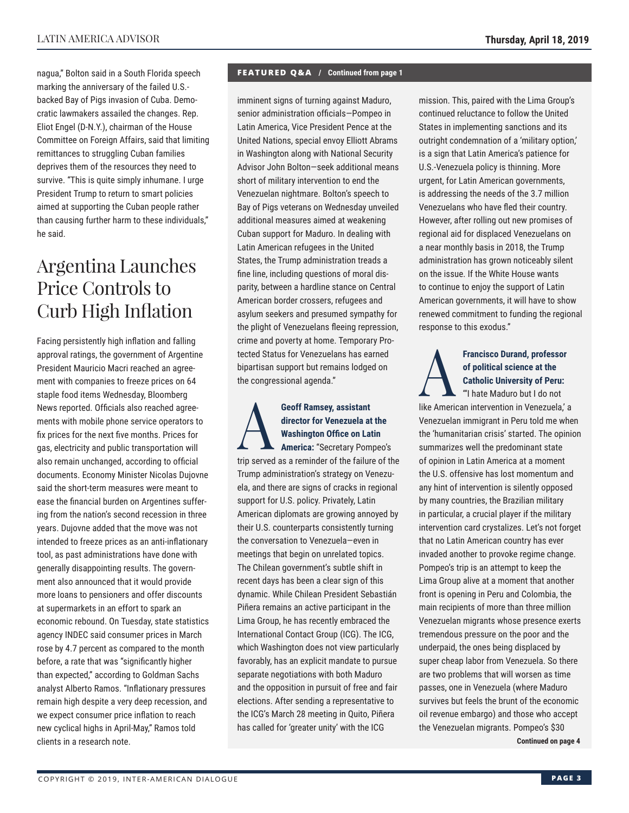nagua," Bolton said in a South Florida speech marking the anniversary of the failed U.S. backed Bay of Pigs invasion of Cuba. Democratic lawmakers assailed the changes. Rep. Eliot Engel (D-N.Y.), chairman of the House Committee on Foreign Affairs, said that limiting remittances to struggling Cuban families deprives them of the resources they need to survive. "This is quite simply inhumane. I urge President Trump to return to smart policies aimed at supporting the Cuban people rather than causing further harm to these individuals," he said.

# Argentina Launches Price Controls to Curb High Inflation

Facing persistently high inflation and falling approval ratings, the government of Argentine President Mauricio Macri reached an agreement with companies to freeze prices on 64 staple food items Wednesday, Bloomberg News reported. Officials also reached agreements with mobile phone service operators to fix prices for the next five months. Prices for gas, electricity and public transportation will also remain unchanged, according to official documents. Economy Minister Nicolas Dujovne said the short-term measures were meant to ease the financial burden on Argentines suffering from the nation's second recession in three years. Dujovne added that the move was not intended to freeze prices as an anti-inflationary tool, as past administrations have done with generally disappointing results. The government also announced that it would provide more loans to pensioners and offer discounts at supermarkets in an effort to spark an economic rebound. On Tuesday, state statistics agency INDEC said consumer prices in March rose by 4.7 percent as compared to the month before, a rate that was "significantly higher than expected," according to Goldman Sachs analyst Alberto Ramos. "Inflationary pressures remain high despite a very deep recession, and we expect consumer price inflation to reach new cyclical highs in April-May," Ramos told clients in a research note.

#### **FEATURED Q&A / Continued from page 1**

imminent signs of turning against Maduro, senior administration officials—Pompeo in Latin America, Vice President Pence at the United Nations, special envoy Elliott Abrams in Washington along with National Security Advisor John Bolton—seek additional means short of military intervention to end the Venezuelan nightmare. Bolton's speech to Bay of Pigs veterans on Wednesday unveiled additional measures aimed at weakening Cuban support for Maduro. In dealing with Latin American refugees in the United States, the Trump administration treads a fine line, including questions of moral disparity, between a hardline stance on Central American border crossers, refugees and asylum seekers and presumed sympathy for the plight of Venezuelans fleeing repression, crime and poverty at home. Temporary Protected Status for Venezuelans has earned bipartisan support but remains lodged on the congressional agenda."

Geoff Ramsey, assistant<br>director for Venezuela at<br>Washington Office on Lat<br>America: "Secretary Pom **director for Venezuela at the Washington Office on Latin America:** "Secretary Pompeo's trip served as a reminder of the failure of the Trump administration's strategy on Venezuela, and there are signs of cracks in regional support for U.S. policy. Privately, Latin American diplomats are growing annoyed by their U.S. counterparts consistently turning the conversation to Venezuela—even in meetings that begin on unrelated topics. The Chilean government's subtle shift in recent days has been a clear sign of this dynamic. While Chilean President Sebastián Piñera remains an active participant in the Lima Group, he has recently embraced the International Contact Group (ICG). The ICG, which Washington does not view particularly favorably, has an explicit mandate to pursue separate negotiations with both Maduro and the opposition in pursuit of free and fair elections. After sending a representative to the ICG's March 28 meeting in Quito, Piñera has called for 'greater unity' with the ICG

mission. This, paired with the Lima Group's continued reluctance to follow the United States in implementing sanctions and its outright condemnation of a 'military option,' is a sign that Latin America's patience for U.S.-Venezuela policy is thinning. More urgent, for Latin American governments, is addressing the needs of the 3.7 million Venezuelans who have fled their country. However, after rolling out new promises of regional aid for displaced Venezuelans on a near monthly basis in 2018, the Trump administration has grown noticeably silent on the issue. If the White House wants to continue to enjoy the support of Latin American governments, it will have to show renewed commitment to funding the regional response to this exodus."

# Francisco Durand, professor<br>of political science at the<br>catholic University of Peru:<br>"I hate Maduro but I do not **of political science at the Catholic University of Peru:**

"'I hate Maduro but I do not like American intervention in Venezuela,' a Venezuelan immigrant in Peru told me when the 'humanitarian crisis' started. The opinion summarizes well the predominant state of opinion in Latin America at a moment the U.S. offensive has lost momentum and any hint of intervention is silently opposed by many countries, the Brazilian military in particular, a crucial player if the military intervention card crystalizes. Let's not forget that no Latin American country has ever invaded another to provoke regime change. Pompeo's trip is an attempt to keep the Lima Group alive at a moment that another front is opening in Peru and Colombia, the main recipients of more than three million Venezuelan migrants whose presence exerts tremendous pressure on the poor and the underpaid, the ones being displaced by super cheap labor from Venezuela. So there are two problems that will worsen as time passes, one in Venezuela (where Maduro survives but feels the brunt of the economic oil revenue embargo) and those who accept the Venezuelan migrants. Pompeo's \$30 **Continued on page 4**